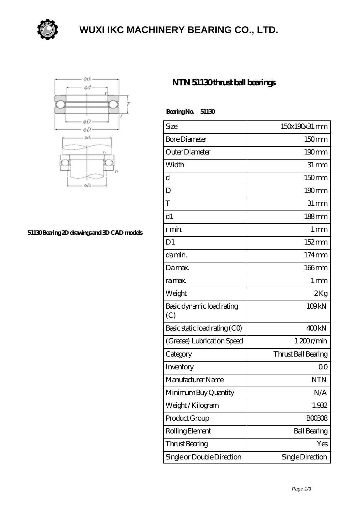

### **[WUXI IKC MACHINERY BEARING CO., LTD.](https://szerafstudio.com)**



#### **[51130 Bearing 2D drawings and 3D CAD models](https://szerafstudio.com/pic-530946.html)**

### **[NTN 51130 thrust ball bearings](https://szerafstudio.com/ntn-51130-bearing/)**

 **Bearing No. 51130**

| Size                             | 150x190x31 mm       |
|----------------------------------|---------------------|
| <b>Bore Diameter</b>             | 150mm               |
| Outer Diameter                   | $190 \text{mm}$     |
| Width                            | $31 \, \text{mm}$   |
| d                                | 150 <sub>mm</sub>   |
| D                                | 190mm               |
| T                                | $31 \, \text{mm}$   |
| d1                               | 188mm               |
| r min.                           | 1 <sub>mm</sub>     |
| D <sub>1</sub>                   | $152 \,\mathrm{mm}$ |
| da min.                          | $174 \,\mathrm{mm}$ |
| Damax.                           | $166$ mm            |
| ra max.                          | 1 <sub>mm</sub>     |
| Weight                           | 2Kg                 |
| Basic dynamic load rating<br>(C) | 109 <sub>kN</sub>   |
| Basic static load rating (CO)    | 400 <sub>kN</sub>   |
| (Grease) Lubrication Speed       | 1200r/min           |
| Category                         | Thrust Ball Bearing |
| Inventory                        | 0 <sup>0</sup>      |
| Manufacturer Name                | <b>NTN</b>          |
| Minimum Buy Quantity             | N/A                 |
| Weight / Kilogram                | 1.932               |
| Product Group                    | <b>BOO3O8</b>       |
| Rolling Element                  | <b>Ball Bearing</b> |
| Thrust Bearing                   | Yes                 |
| Single or Double Direction       | Single Direction    |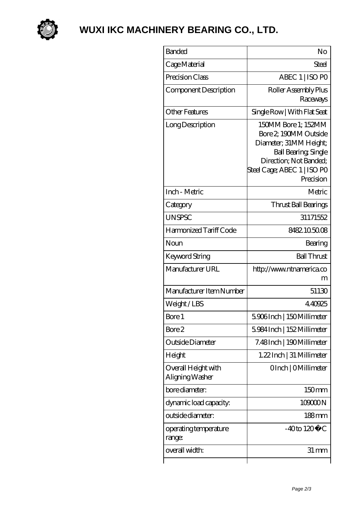

# **[WUXI IKC MACHINERY BEARING CO., LTD.](https://szerafstudio.com)**

| <b>Banded</b>                          | No                                                                                                                                                                          |
|----------------------------------------|-----------------------------------------------------------------------------------------------------------------------------------------------------------------------------|
| Cage Material                          | Steel                                                                                                                                                                       |
| Precision Class                        | ABEC 1   ISO PO                                                                                                                                                             |
| Component Description                  | Roller Assembly Plus<br>Raceways                                                                                                                                            |
| <b>Other Features</b>                  | Single Row   With Flat Seat                                                                                                                                                 |
| Long Description                       | 150MM Bore 1; 152MM<br>Bore 2, 190MM Outside<br>Diameter; 31MM Height;<br><b>Ball Bearing, Single</b><br>Direction; Not Banded;<br>Steel Cage; ABEC 1   ISO PO<br>Precision |
| Inch - Metric                          | Metric                                                                                                                                                                      |
| Category                               | Thrust Ball Bearings                                                                                                                                                        |
| <b>UNSPSC</b>                          | 31171552                                                                                                                                                                    |
| Harmonized Tariff Code                 | 8482105008                                                                                                                                                                  |
| Noun                                   | Bearing                                                                                                                                                                     |
| Keyword String                         | <b>Ball Thrust</b>                                                                                                                                                          |
| Manufacturer URL                       | http://www.ntnamerica.co<br>m                                                                                                                                               |
| Manufacturer Item Number               | 51130                                                                                                                                                                       |
| Weight/LBS                             | 4.40925                                                                                                                                                                     |
| Bore 1                                 | 5906Inch   150Millimeter                                                                                                                                                    |
| Bore 2                                 | 5984Inch   152 Millimeter                                                                                                                                                   |
| Outside Diameter                       | 7.48Inch   190Millimeter                                                                                                                                                    |
| Height                                 | 1.22 Inch   31 Millimeter                                                                                                                                                   |
| Overall Height with<br>Aligning Washer | OInch   OMillimeter                                                                                                                                                         |
| bore diameter:                         | 150mm                                                                                                                                                                       |
| dynamic load capacity:                 | 109000N                                                                                                                                                                     |
| outside diameter:                      | $188$ mm                                                                                                                                                                    |
| operating temperature<br>range:        | $-40$ to $120^{\circ}$ C                                                                                                                                                    |
| overall width:                         | $31 \,\mathrm{mm}$                                                                                                                                                          |
|                                        |                                                                                                                                                                             |